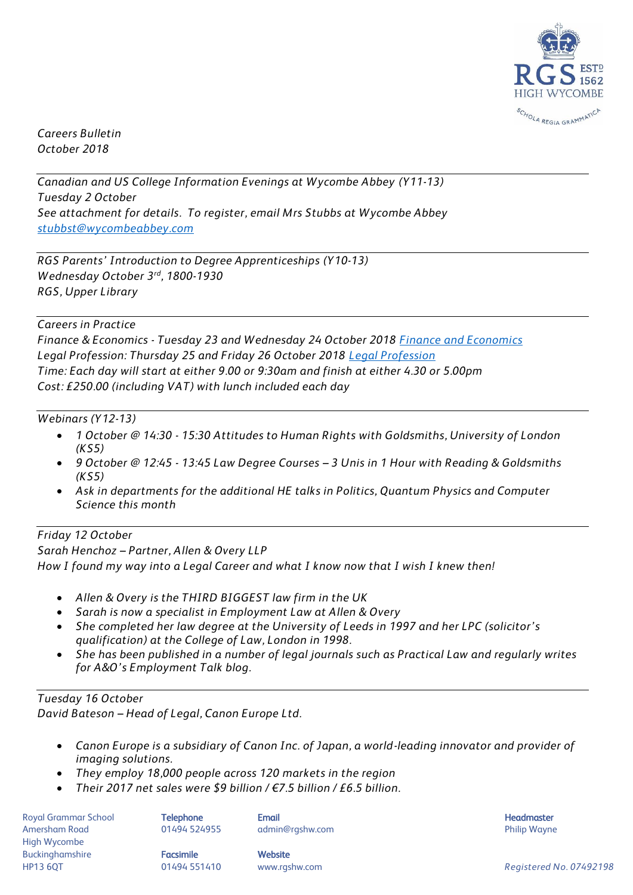

*Careers Bulletin October 2018*

*Canadian and US College Information Evenings at Wycombe Abbey (Y11-13) Tuesday 2 October See attachment for details. To register, email Mrs Stubbs at Wycombe Abbey [stubbst@wycombeabbey.com](mailto:stubbst@wycombeabbey.com)*

*RGS Parents' Introduction to Degree Apprenticeships (Y10-13) Wednesday October 3rd, 1800-1930 RGS, Upper Library*

## *Careers in Practice*

*Finance & Economics - Tuesday 23 and Wednesday 24 October 2018 [Finance and Economics](https://www.eventbrite.co.uk/e/finance-and-economics-careers-in-practice-23-24-october-930am-to-430pm-each-day-tickets-50114407542) Legal Profession: Thursday 25 and Friday 26 October 2018 [Legal Profession](https://www.eventbrite.co.uk/e/legal-profession-careers-in-practice-25-26-october-930am-to-430pm-daily-tickets-50113966222) Time: Each day will start at either 9.00 or 9:30am and finish at either 4.30 or 5.00pm Cost: £250.00 (including VAT) with lunch included each day*

## *Webinars (Y12-13)*

- *1 October @ 14:30 - 15:30 Attitudes to Human Rights with Goldsmiths, University of London (KS5)*
- *9 October @ 12:45 - 13:45 Law Degree Courses – 3 Unis in 1 Hour with Reading & Goldsmiths (KS5)*
- *Ask in departments for the additional HE talks in Politics, Quantum Physics and Computer Science this month*

## *Friday 12 October*

*Sarah Henchoz – Partner, Allen & Overy LLP How I found my way into a Legal Career and what I know now that I wish I knew then!*

- *Allen & Overy is the THIRD BIGGEST law firm in the UK*
- *Sarah is now a specialist in Employment Law at Allen & Overy*
- *She completed her law degree at the University of Leeds in 1997 and her LPC (solicitor's qualification) at the College of Law, London in 1998.*
- *She has been published in a number of legal journals such as Practical Law and regularly writes for A&O's Employment Talk blog.*

## *Tuesday 16 October*

*David Bateson – Head of Legal, Canon Europe Ltd.*

- *Canon Europe is a subsidiary of Canon Inc. of Japan, a world-leading innovator and provider of imaging solutions.*
- *They employ 18,000 people across 120 markets in the region*
- *Their 2017 net sales were \$9 billion / €7.5 billion / £6.5 billion.*

Royal Grammar School **Telephone Email Headmaster Email Headmaster Headmaster Headmaster** Amersham Road **8. Mart 201494 524955** admin@rgshw.com **Amersham Road Philip Wayne** High Wycombe Buckinghamshire **Facsimile Facsimile** Website

HP13 6QT 01494 551410 www.rgshw.com *Registered No. 07492198*